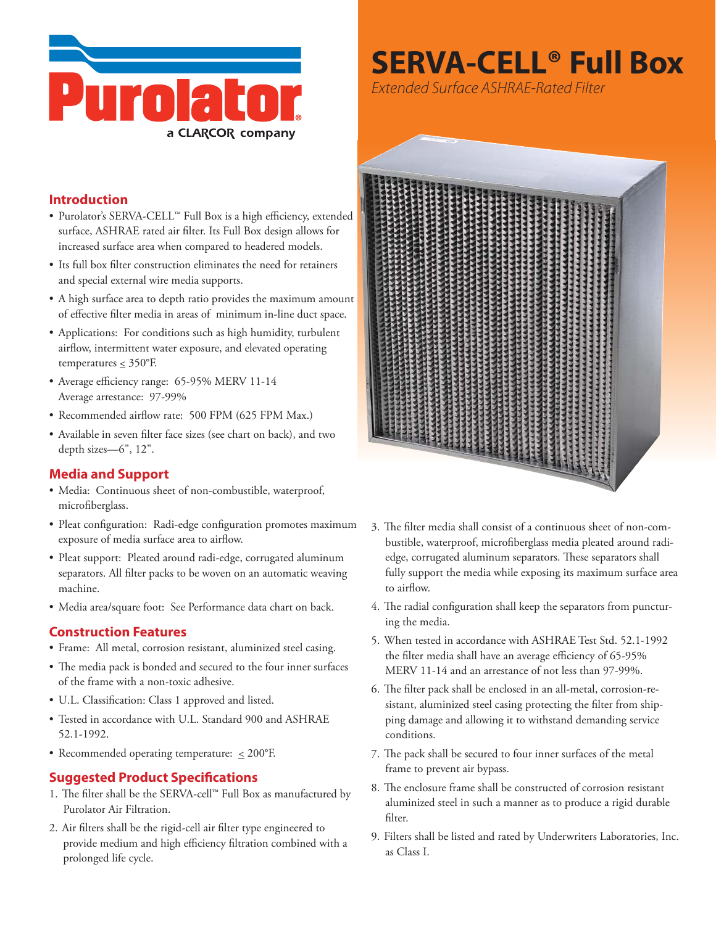

# **SERVA-CELL<sup>®</sup> Full Box**

Extended Surface ASHRAE-Rated Filter

### **Introduction**

- Purolator's SERVA-CELL™ Full Box is a high efficiency, extended surface, ASHRAE rated air filter. Its Full Box design allows for increased surface area when compared to headered models.
- Its full box filter construction eliminates the need for retainers and special external wire media supports.
- A high surface area to depth ratio provides the maximum amount of effective filter media in areas of minimum in-line duct space.
- Applications: For conditions such as high humidity, turbulent airflow, intermittent water exposure, and elevated operating temperatures  $\leq 350^{\circ}$ F.
- Average efficiency range: 65-95% MERV 11-14 Average arrestance: 97-99%
- Recommended airflow rate: 500 FPM (625 FPM Max.)
- Available in seven filter face sizes (see chart on back), and two depth sizes-6", 12".

#### **Media and Support**

- · Media: Continuous sheet of non-combustible, waterproof, microfiberglass.
- Pleat configuration: Radi-edge configuration promotes maximum exposure of media surface area to airflow.
- · Pleat support: Pleated around radi-edge, corrugated aluminum separators. All filter packs to be woven on an automatic weaving machine.
- · Media area/square foot: See Performance data chart on back.

#### **Construction Features**

- · Frame: All metal, corrosion resistant, aluminized steel casing.
- The media pack is bonded and secured to the four inner surfaces of the frame with a non-toxic adhesive.
- U.L. Classification: Class 1 approved and listed.
- Tested in accordance with U.L. Standard 900 and ASHRAE 52.1-1992.
- Recommended operating temperature:  $\leq 200^{\circ}$ F.

# **Suggested Product Specifications**

- 1. The filter shall be the SERVA-cell™ Full Box as manufactured by Purolator Air Filtration.
- 2. Air filters shall be the rigid-cell air filter type engineered to provide medium and high efficiency filtration combined with a prolonged life cycle.



- 3. The filter media shall consist of a continuous sheet of non-combustible, waterproof, microfiberglass media pleated around radiedge, corrugated aluminum separators. These separators shall fully support the media while exposing its maximum surface area to airflow.
- 4. The radial configuration shall keep the separators from puncturing the media.
- 5. When tested in accordance with ASHRAE Test Std. 52.1-1992 the filter media shall have an average efficiency of 65-95% MERV 11-14 and an arrestance of not less than 97-99%.
- 6. The filter pack shall be enclosed in an all-metal, corrosion-resistant, aluminized steel casing protecting the filter from shipping damage and allowing it to withstand demanding service conditions.
- 7. The pack shall be secured to four inner surfaces of the metal frame to prevent air bypass.
- 8. The enclosure frame shall be constructed of corrosion resistant aluminized steel in such a manner as to produce a rigid durable filter.
- 9. Filters shall be listed and rated by Underwriters Laboratories, Inc. as Class I.